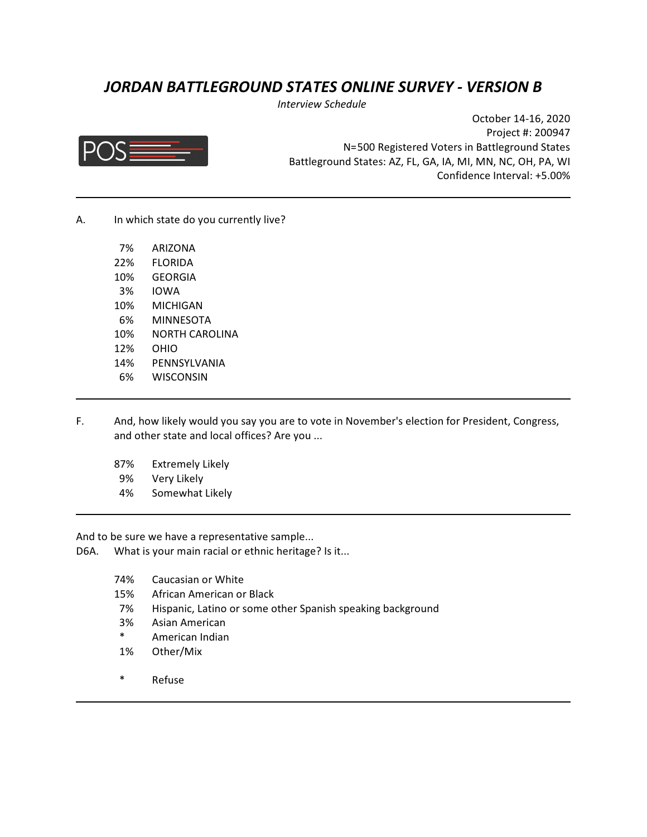# *JORDAN BATTLEGROUND STATES ONLINE SURVEY - VERSION B*

*Interview Schedule* 



October 14-16, 2020 Project #: 200947 N=500 Registered Voters in Battleground States Battleground States: AZ, FL, GA, IA, MI, MN, NC, OH, PA, WI Confidence Interval: +5.00%

A. In which state do you currently live?

| 7%  | <b>ARIZONA</b> |
|-----|----------------|
| 22% | FLORIDA        |
| 10% | GEORGIA        |
| 3%  | IOWA           |
| 10% | MICHIGAN       |
| 6%  | MINNESOTA      |
| 10% | NORTH CAROLINA |
| 12% | OHIO           |
| 14% | PENNSYLVANIA   |
| 6%  | WISCONSIN      |

- F. And, how likely would you say you are to vote in November's election for President, Congress, and other state and local offices? Are you ...
	- 87% Extremely Likely
	- 9% Very Likely
	- 4% Somewhat Likely

And to be sure we have a representative sample...

- D6A. What is your main racial or ethnic heritage? Is it...
	- 74% Caucasian or White
	- 15% African American or Black
	- 7% Hispanic, Latino or some other Spanish speaking background
	- 3% Asian American
	- \* American Indian
	- 1% Other/Mix
	- \* Refuse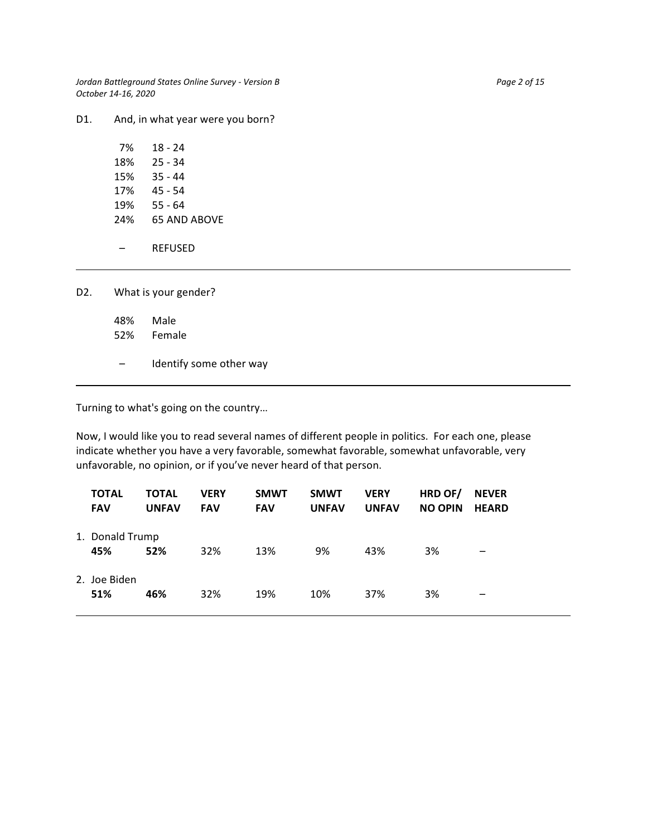*Jordan Battleground States Online Survey - Version B* Page 2 of 15 *October 14-16, 2020*

D1. And, in what year were you born?

| D2. L |     | What is your gender?    |  |  |
|-------|-----|-------------------------|--|--|
|       | 48% | Male<br>52% Female      |  |  |
|       |     | Identify some other way |  |  |

Turning to what's going on the country…

Now, I would like you to read several names of different people in politics. For each one, please indicate whether you have a very favorable, somewhat favorable, somewhat unfavorable, very unfavorable, no opinion, or if you've never heard of that person.

| <b>TOTAL</b><br><b>FAV</b> | <b>TOTAL</b><br><b>UNFAV</b> | <b>VERY</b><br><b>FAV</b> | <b>SMWT</b><br><b>FAV</b> | <b>SMWT</b><br><b>UNFAV</b> | <b>VERY</b><br><b>UNFAV</b> | HRD OF/<br><b>NO OPIN</b> | <b>NEVER</b><br><b>HEARD</b> |
|----------------------------|------------------------------|---------------------------|---------------------------|-----------------------------|-----------------------------|---------------------------|------------------------------|
| 1. Donald Trump<br>45%     | 52%                          | 32%                       | 13%                       | 9%                          | 43%                         | 3%                        |                              |
| 2. Joe Biden<br>51%        | 46%                          | 32%                       | 19%                       | 10%                         | 37%                         | 3%                        |                              |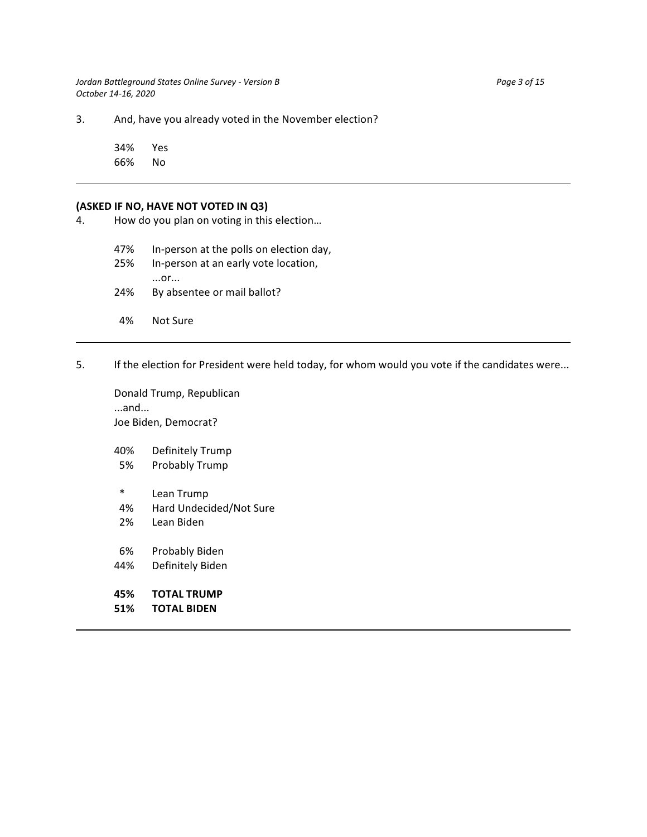*Jordan Battleground States Online Survey - Version B* Page 3 of 15 *October 14-16, 2020*

3. And, have you already voted in the November election?

34% Yes 66% No

#### **(ASKED IF NO, HAVE NOT VOTED IN Q3)**

4. How do you plan on voting in this election…

47% In-person at the polls on election day,

- 25% In-person at an early vote location, ...or... 24% By absentee or mail ballot?
- 4% Not Sure
- 5. If the election for President were held today, for whom would you vote if the candidates were...

Donald Trump, Republican ...and... Joe Biden, Democrat?

40% Definitely Trump

- 5% Probably Trump
- \* Lean Trump
- 4% Hard Undecided/Not Sure
- 2% Lean Biden
- 6% Probably Biden
- 44% Definitely Biden
- **45% TOTAL TRUMP**
- **51% TOTAL BIDEN**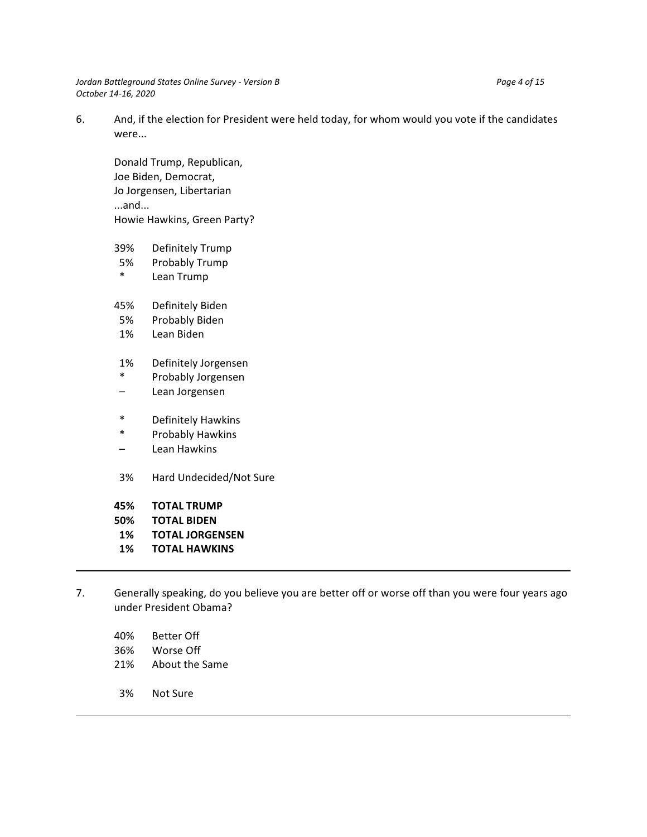*Jordan Battleground States Online Survey - Version B* Page 4 of 15 *October 14-16, 2020*

6. And, if the election for President were held today, for whom would you vote if the candidates were...

Donald Trump, Republican, Joe Biden, Democrat, Jo Jorgensen, Libertarian ...and... Howie Hawkins, Green Party?

- 39% Definitely Trump
- 5% Probably Trump
- \* Lean Trump
- 45% Definitely Biden
- 5% Probably Biden
- 1% Lean Biden
- 1% Definitely Jorgensen
- \* Probably Jorgensen
- Lean Jorgensen
- \* Definitely Hawkins
- \* Probably Hawkins
- Lean Hawkins
- 3% Hard Undecided/Not Sure
- **45% TOTAL TRUMP**
- **50% TOTAL BIDEN**
- **1% TOTAL JORGENSEN**
- **1% TOTAL HAWKINS**
- 7. Generally speaking, do you believe you are better off or worse off than you were four years ago under President Obama?
	- 40% Better Off
	- 36% Worse Off
	- 21% About the Same
	- 3% Not Sure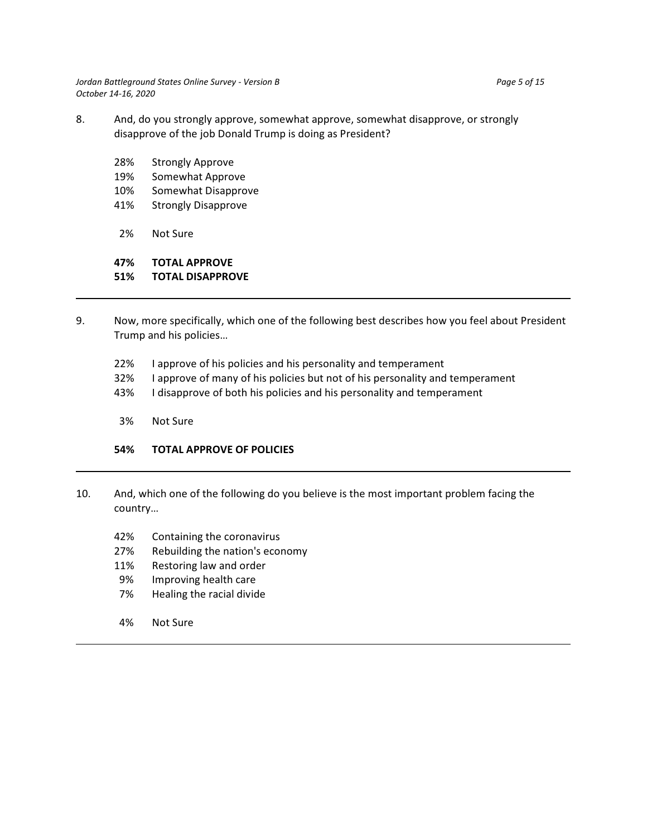*Jordan Battleground States Online Survey - Version B* Page 5 of 15 *October 14-16, 2020*

- 8. And, do you strongly approve, somewhat approve, somewhat disapprove, or strongly disapprove of the job Donald Trump is doing as President?
	- 28% Strongly Approve
	- 19% Somewhat Approve
	- 10% Somewhat Disapprove
	- 41% Strongly Disapprove
	- 2% Not Sure

# **47% TOTAL APPROVE**

## **51% TOTAL DISAPPROVE**

- 9. Now, more specifically, which one of the following best describes how you feel about President Trump and his policies…
	- 22% I approve of his policies and his personality and temperament
	- 32% I approve of many of his policies but not of his personality and temperament
	- 43% I disapprove of both his policies and his personality and temperament
	- 3% Not Sure

# **54% TOTAL APPROVE OF POLICIES**

- 10. And, which one of the following do you believe is the most important problem facing the country…
	- 42% Containing the coronavirus
	- 27% Rebuilding the nation's economy
	- 11% Restoring law and order
	- 9% Improving health care
	- 7% Healing the racial divide
	- 4% Not Sure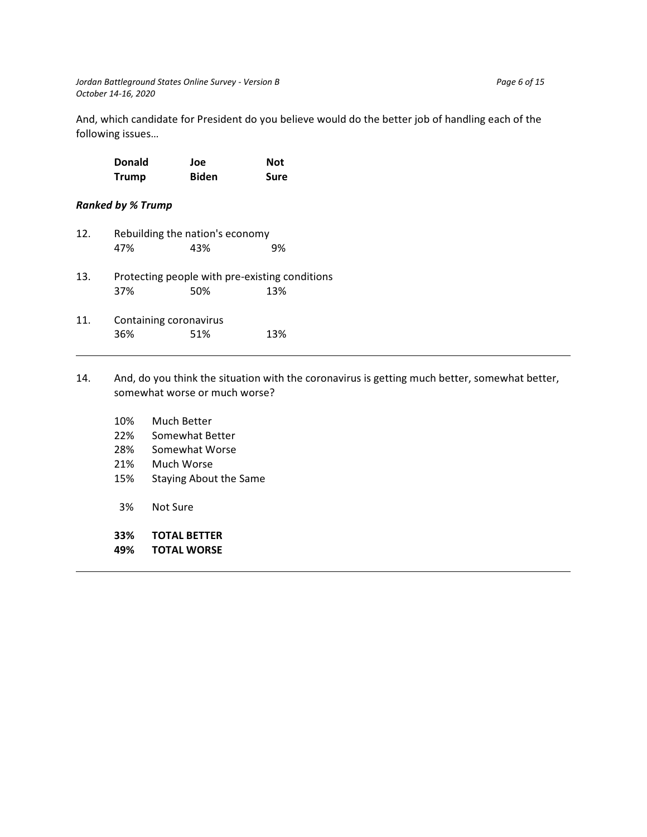And, which candidate for President do you believe would do the better job of handling each of the following issues…

| <b>Donald</b> | Joe          | <b>Not</b> |
|---------------|--------------|------------|
| <b>Trump</b>  | <b>Biden</b> | Sure       |

## *Ranked by % Trump*

| 12. | Rebuilding the nation's economy |                                                       |     |  |  |  |  |
|-----|---------------------------------|-------------------------------------------------------|-----|--|--|--|--|
|     | 47%                             | 43%                                                   | 9%  |  |  |  |  |
| 13. | 37%                             | Protecting people with pre-existing conditions<br>50% | 13% |  |  |  |  |
| 11. | Containing coronavirus<br>36%   | 51%                                                   | 13% |  |  |  |  |

- 14. And, do you think the situation with the coronavirus is getting much better, somewhat better, somewhat worse or much worse?
	- 10% Much Better
	- 22% Somewhat Better
	- 28% Somewhat Worse
	- 21% Much Worse
	- 15% Staying About the Same
	- 3% Not Sure
	- **33% TOTAL BETTER**
	- **49% TOTAL WORSE**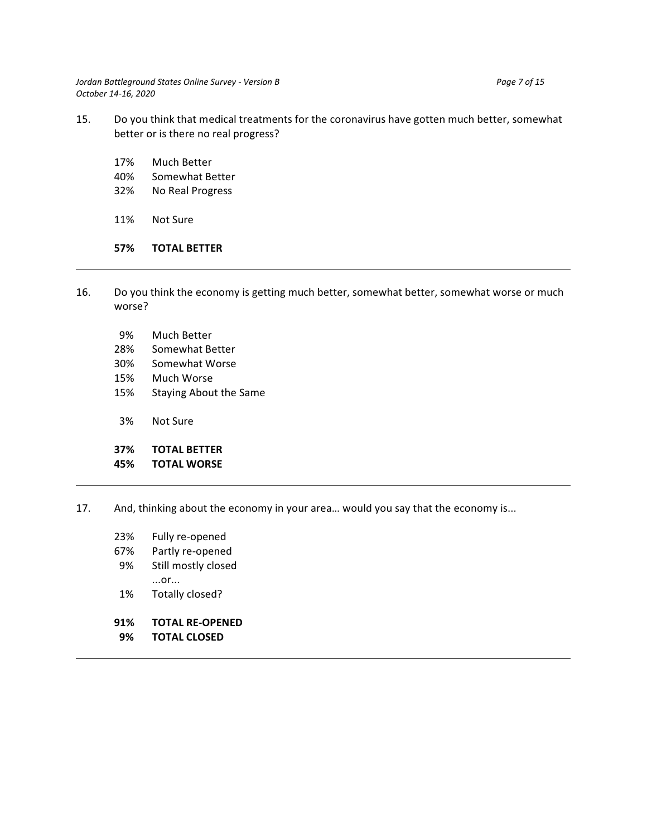*Jordan Battleground States Online Survey - Version B* Page 7 of 15 *October 14-16, 2020*

- 15. Do you think that medical treatments for the coronavirus have gotten much better, somewhat better or is there no real progress?
	- 17% Much Better
	- 40% Somewhat Better
	- 32% No Real Progress
	- 11% Not Sure

#### **57% TOTAL BETTER**

- 16. Do you think the economy is getting much better, somewhat better, somewhat worse or much worse?
	- 9% Much Better
	- 28% Somewhat Better
	- 30% Somewhat Worse
	- 15% Much Worse
	- 15% Staying About the Same
	- 3% Not Sure

### **37% TOTAL BETTER**

#### **45% TOTAL WORSE**

- 17. And, thinking about the economy in your area… would you say that the economy is...
	- 23% Fully re-opened
	- 67% Partly re-opened
	- 9% Still mostly closed ...or...
	- 1% Totally closed?
	- **91% TOTAL RE-OPENED**
	- **9% TOTAL CLOSED**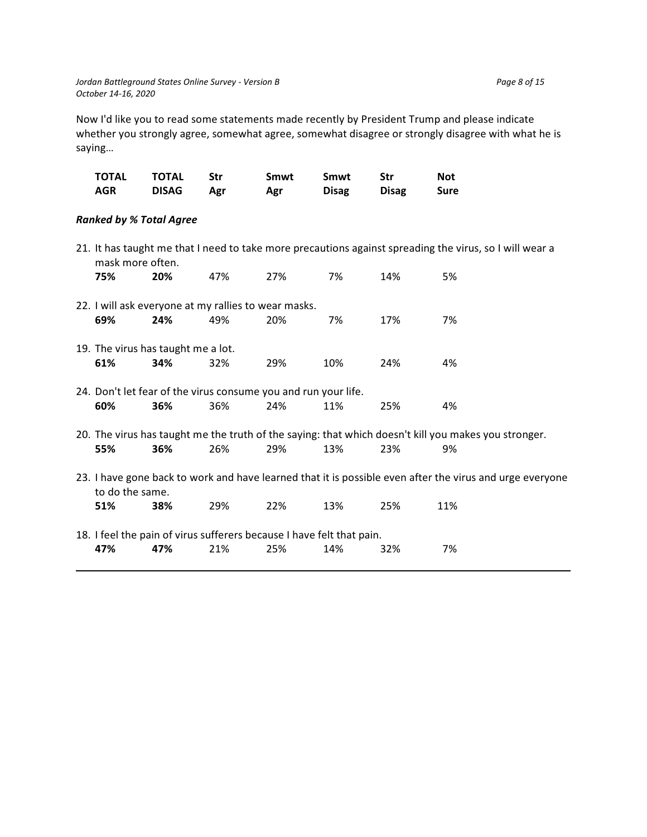Now I'd like you to read some statements made recently by President Trump and please indicate whether you strongly agree, somewhat agree, somewhat disagree or strongly disagree with what he is saying…

| TOTAL | TOTAL        | - Str | Smwt | Smwt         | Str          | Not         |
|-------|--------------|-------|------|--------------|--------------|-------------|
| AGR   | <b>DISAG</b> | Agr   | Agr  | <b>Disag</b> | <b>Disag</b> | <b>Sure</b> |

# *Ranked by % Total Agree*

| mask more often.                   |     |                                                      |                                                                       |     |     | 21. It has taught me that I need to take more precautions against spreading the virus, so I will wear a  |
|------------------------------------|-----|------------------------------------------------------|-----------------------------------------------------------------------|-----|-----|----------------------------------------------------------------------------------------------------------|
| 75%                                | 20% | 47%                                                  | 27%                                                                   | 7%  | 14% | 5%                                                                                                       |
|                                    |     | 22. I will ask everyone at my rallies to wear masks. |                                                                       |     |     |                                                                                                          |
| 69%                                | 24% | 49%                                                  | 20%                                                                   | 7%  | 17% | 7%                                                                                                       |
| 19. The virus has taught me a lot. |     |                                                      |                                                                       |     |     |                                                                                                          |
| 61%                                | 34% | 32%                                                  | 29%                                                                   | 10% | 24% | 4%                                                                                                       |
|                                    |     |                                                      | 24. Don't let fear of the virus consume you and run your life.        |     |     |                                                                                                          |
| 60%                                | 36% | 36%                                                  | 24%                                                                   | 11% | 25% | 4%                                                                                                       |
|                                    |     |                                                      |                                                                       |     |     | 20. The virus has taught me the truth of the saying: that which doesn't kill you makes you stronger.     |
| 55%                                | 36% | 26%                                                  | 29%                                                                   | 13% | 23% | 9%                                                                                                       |
| to do the same.                    |     |                                                      |                                                                       |     |     | 23. I have gone back to work and have learned that it is possible even after the virus and urge everyone |
| 51%                                | 38% | 29%                                                  | 22%                                                                   | 13% | 25% | 11%                                                                                                      |
|                                    |     |                                                      | 18. I feel the pain of virus sufferers because I have felt that pain. |     |     |                                                                                                          |
| 47%                                | 47% | 21%                                                  | 25%                                                                   | 14% | 32% | 7%                                                                                                       |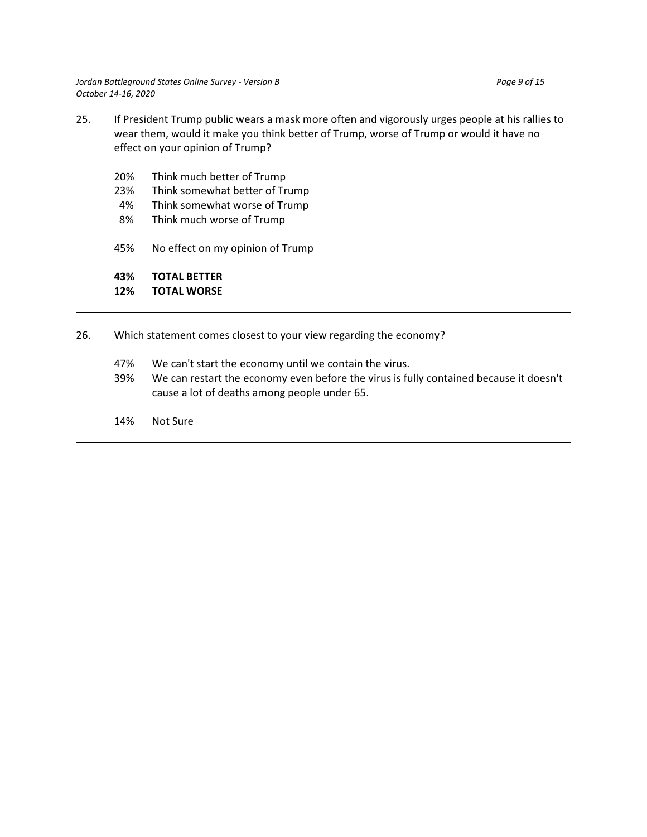- 25. If President Trump public wears a mask more often and vigorously urges people at his rallies to wear them, would it make you think better of Trump, worse of Trump or would it have no effect on your opinion of Trump?
	- 20% Think much better of Trump
	- 23% Think somewhat better of Trump
	- 4% Think somewhat worse of Trump
	- 8% Think much worse of Trump
	- 45% No effect on my opinion of Trump

**43% TOTAL BETTER**

## **12% TOTAL WORSE**

- 26. Which statement comes closest to your view regarding the economy?
	- 47% We can't start the economy until we contain the virus.
	- 39% We can restart the economy even before the virus is fully contained because it doesn't cause a lot of deaths among people under 65.
	- 14% Not Sure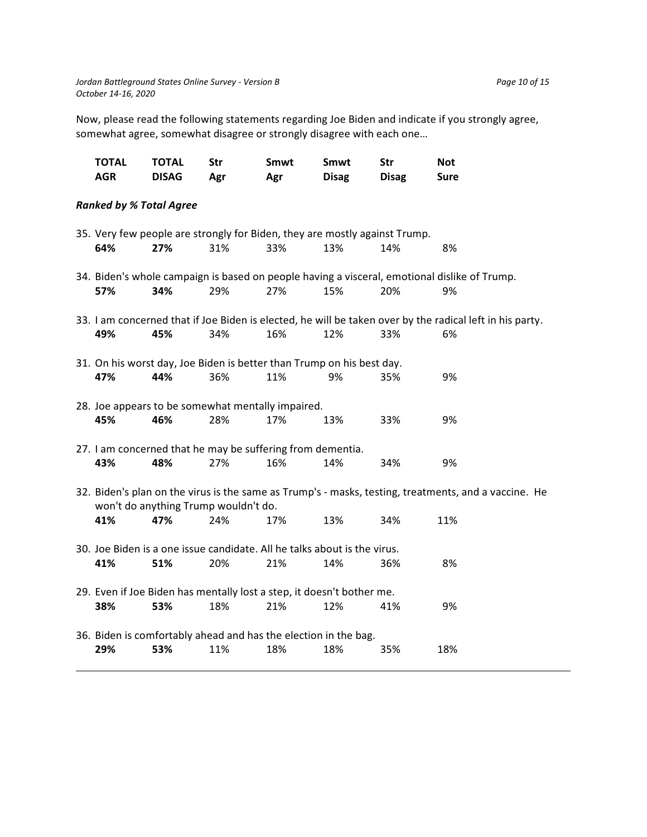Now, please read the following statements regarding Joe Biden and indicate if you strongly agree, somewhat agree, somewhat disagree or strongly disagree with each one…

| <b>TOTAL</b><br><b>AGR</b>     | <b>TOTAL</b><br><b>DISAG</b> | <b>Str</b><br>Agr                                                                 | Smwt<br>Agr | Smwt<br><b>Disag</b> | <b>Str</b><br><b>Disag</b> | <b>Not</b><br><b>Sure</b>                                                                                      |  |
|--------------------------------|------------------------------|-----------------------------------------------------------------------------------|-------------|----------------------|----------------------------|----------------------------------------------------------------------------------------------------------------|--|
| <b>Ranked by % Total Agree</b> |                              |                                                                                   |             |                      |                            |                                                                                                                |  |
| 64%                            | 27%                          | 35. Very few people are strongly for Biden, they are mostly against Trump.<br>31% | 33%         | 13%                  | 14%                        | 8%                                                                                                             |  |
| 57%                            | 34%                          | 29%                                                                               | 27%         | 15%                  | 20%                        | 34. Biden's whole campaign is based on people having a visceral, emotional dislike of Trump.<br>9%             |  |
| 49%                            | 45%                          | 34%                                                                               | 16%         | 12%                  | 33%                        | 33. I am concerned that if Joe Biden is elected, he will be taken over by the radical left in his party.<br>6% |  |
| 47%                            | 44%                          | 31. On his worst day, Joe Biden is better than Trump on his best day.<br>36%      | 11%         | 9%                   | 35%                        | 9%                                                                                                             |  |
| 45%                            | 46%                          | 28. Joe appears to be somewhat mentally impaired.<br>28%                          | 17%         | 13%                  | 33%                        | 9%                                                                                                             |  |
| 43%                            | 48%                          | 27. I am concerned that he may be suffering from dementia.<br>27%                 | 16%         | 14%                  | 34%                        | 9%                                                                                                             |  |
| 41%                            | 47%                          | won't do anything Trump wouldn't do.<br>24%                                       | 17%         | 13%                  | 34%                        | 32. Biden's plan on the virus is the same as Trump's - masks, testing, treatments, and a vaccine. He<br>11%    |  |
| 41%                            | 51%                          | 30. Joe Biden is a one issue candidate. All he talks about is the virus.<br>20%   | 21%         | 14%                  | 36%                        | 8%                                                                                                             |  |
| 38%                            | 53%                          | 29. Even if Joe Biden has mentally lost a step, it doesn't bother me.<br>18%      | 21%         | 12%                  | 41%                        | 9%                                                                                                             |  |
| 29%                            | 53%                          | 36. Biden is comfortably ahead and has the election in the bag.<br>11%            | 18%         | 18%                  | 35%                        | 18%                                                                                                            |  |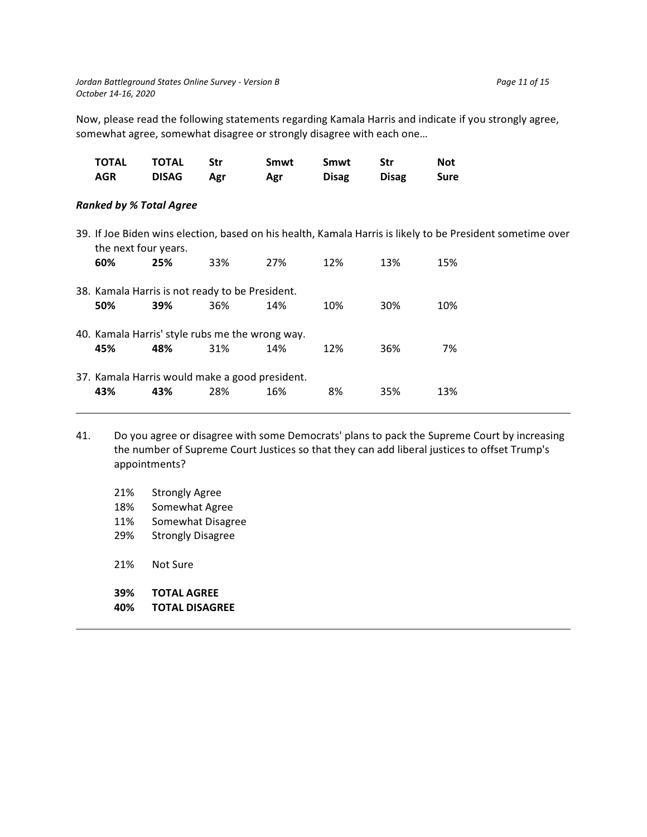Now, please read the following statements regarding Kamala Harris and indicate if you strongly agree,

somewhat agree, somewhat disagree or strongly disagree with each one…

| TOTAL      | TOTAL        | - Str | Smwt | Smwt         | Str          | Not         |
|------------|--------------|-------|------|--------------|--------------|-------------|
| <b>AGR</b> | <b>DISAG</b> | Agr   | Agr  | <b>Disag</b> | <b>Disag</b> | <b>Sure</b> |

### *Ranked by % Total Agree*

39. If Joe Biden wins election, based on his health, Kamala Harris is likely to be President sometime over the next four years.

| 60%                                            | 25%                                             | 33% | 27% | 12% | 13% | 15% |
|------------------------------------------------|-------------------------------------------------|-----|-----|-----|-----|-----|
|                                                | 38. Kamala Harris is not ready to be President. |     |     |     |     |     |
| 50%                                            | 39%                                             | 36% | 14% | 10% | 30% | 10% |
|                                                | 40. Kamala Harris' style rubs me the wrong way. |     |     |     |     |     |
| 45%                                            | 48%                                             | 31% | 14% | 12% | 36% | 7%  |
| 37. Kamala Harris would make a good president. |                                                 |     |     |     |     |     |
| 43%                                            | 43%                                             | 28% | 16% | 8%  | 35% | 13% |

- 41. Do you agree or disagree with some Democrats' plans to pack the Supreme Court by increasing the number of Supreme Court Justices so that they can add liberal justices to offset Trump's appointments?
	- 21% Strongly Agree
	- 18% Somewhat Agree
	- 11% Somewhat Disagree
	- 29% Strongly Disagree
	- 21% Not Sure
	- **39% TOTAL AGREE**
	- **40% TOTAL DISAGREE**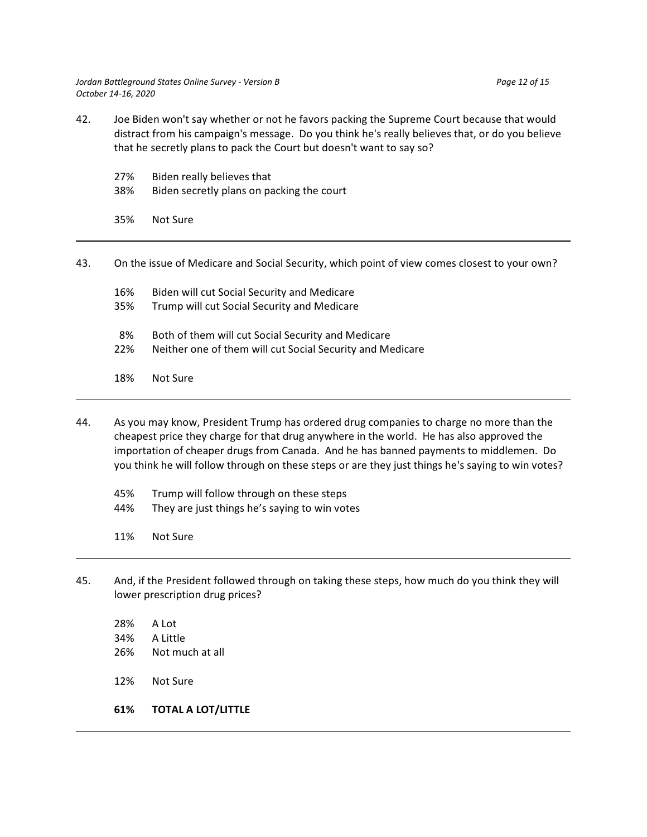- 42. Joe Biden won't say whether or not he favors packing the Supreme Court because that would distract from his campaign's message. Do you think he's really believes that, or do you believe that he secretly plans to pack the Court but doesn't want to say so?
	- 27% Biden really believes that 38% Biden secretly plans on packing the court 35% Not Sure
- 43. On the issue of Medicare and Social Security, which point of view comes closest to your own? 16% Biden will cut Social Security and Medicare 35% Trump will cut Social Security and Medicare 8% Both of them will cut Social Security and Medicare 22% Neither one of them will cut Social Security and Medicare 18% Not Sure
- 44. As you may know, President Trump has ordered drug companies to charge no more than the cheapest price they charge for that drug anywhere in the world. He has also approved the importation of cheaper drugs from Canada. And he has banned payments to middlemen. Do you think he will follow through on these steps or are they just things he's saying to win votes?
	- 45% Trump will follow through on these steps 44% They are just things he's saying to win votes
	- 11% Not Sure
- 45. And, if the President followed through on taking these steps, how much do you think they will lower prescription drug prices?
	- 28% A Lot 34% A Little 26% Not much at all 12% Not Sure
	- **61% TOTAL A LOT/LITTLE**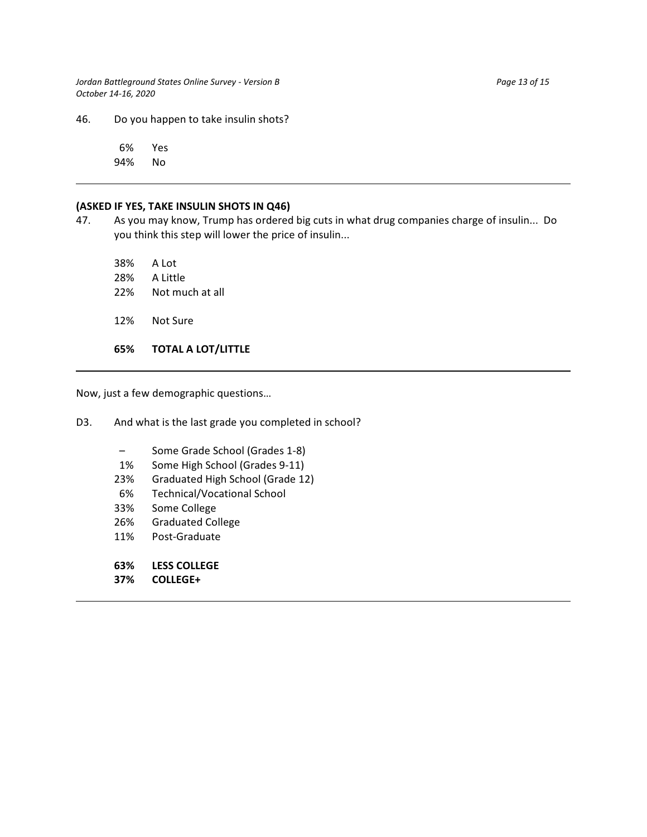*Jordan Battleground States Online Survey - Version B Page 13 of 15 Page 13 of 15 October 14-16, 2020*

46. Do you happen to take insulin shots?

 6% Yes 94% No

#### **(ASKED IF YES, TAKE INSULIN SHOTS IN Q46)**

47. As you may know, Trump has ordered big cuts in what drug companies charge of insulin... Do you think this step will lower the price of insulin...

38% A Lot 28% A Little 22% Not much at all 12% Not Sure **65% TOTAL A LOT/LITTLE**

Now, just a few demographic questions…

D3. And what is the last grade you completed in school?

- Some Grade School (Grades 1-8)
- 1% Some High School (Grades 9-11)
- 23% Graduated High School (Grade 12)
- 6% Technical/Vocational School
- 33% Some College
- 26% Graduated College
- 11% Post-Graduate
- **63% LESS COLLEGE**
- **37% COLLEGE+**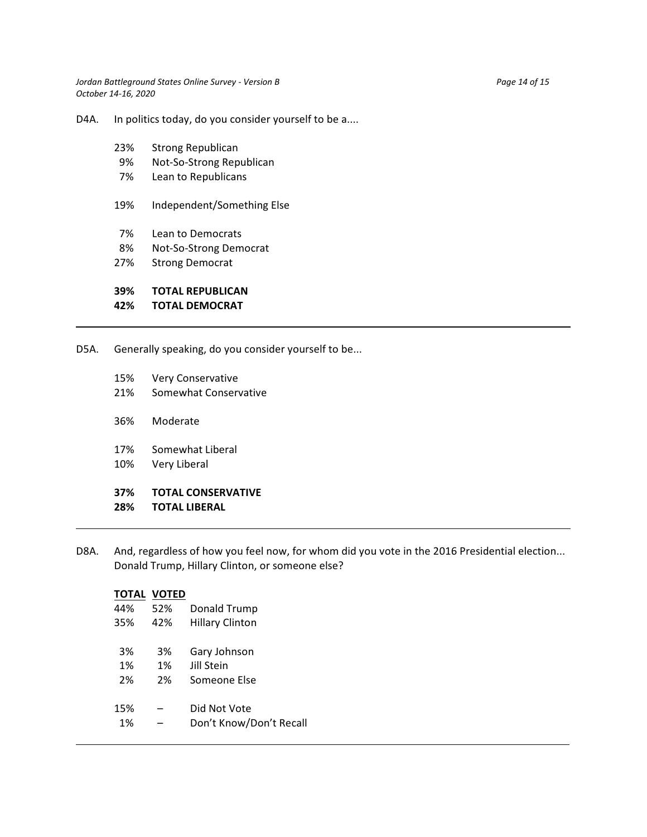*Jordan Battleground States Online Survey - Version B* Page 14 of 15 *October 14-16, 2020*

D4A. In politics today, do you consider yourself to be a....

- 23% Strong Republican
- 9% Not-So-Strong Republican
- 7% Lean to Republicans
- 19% Independent/Something Else
- 7% Lean to Democrats
- 8% Not-So-Strong Democrat
- 27% Strong Democrat

### **39% TOTAL REPUBLICAN**

### **42% TOTAL DEMOCRAT**

D5A. Generally speaking, do you consider yourself to be...

- 15% Very Conservative
- 21% Somewhat Conservative
- 36% Moderate
- 17% Somewhat Liberal
- 10% Very Liberal

# **37% TOTAL CONSERVATIVE**

- **28% TOTAL LIBERAL**
- D8A. And, regardless of how you feel now, for whom did you vote in the 2016 Presidential election... Donald Trump, Hillary Clinton, or someone else?

|     | TOTAL VOTED |                         |
|-----|-------------|-------------------------|
| 44% | 52%         | Donald Trump            |
| 35% | 42%         | <b>Hillary Clinton</b>  |
|     |             |                         |
| 3%  | 3%          | Gary Johnson            |
| 1%  | 1%          | Jill Stein              |
| 2%  | 2%          | Someone Else            |
|     |             |                         |
| 15% |             | Did Not Vote            |
| 1%  |             | Don't Know/Don't Recall |
|     |             |                         |